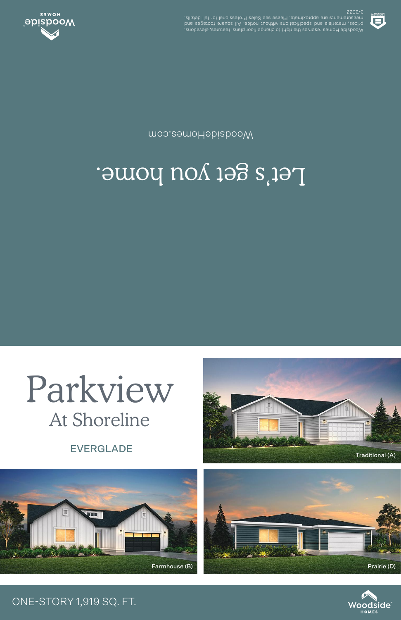Woodside Homes reserves the right to change floor plans, features, elevations, prices, materials and specifications without notice. All square footages and measurements are approximate. Please see Sales Professional for full details. 3/2022



## Let's get you home.

WoodsideHomes.com



## ONE-STORY 1,919 SQ. FT.





EVERGLADE



Parkview

At Shoreline